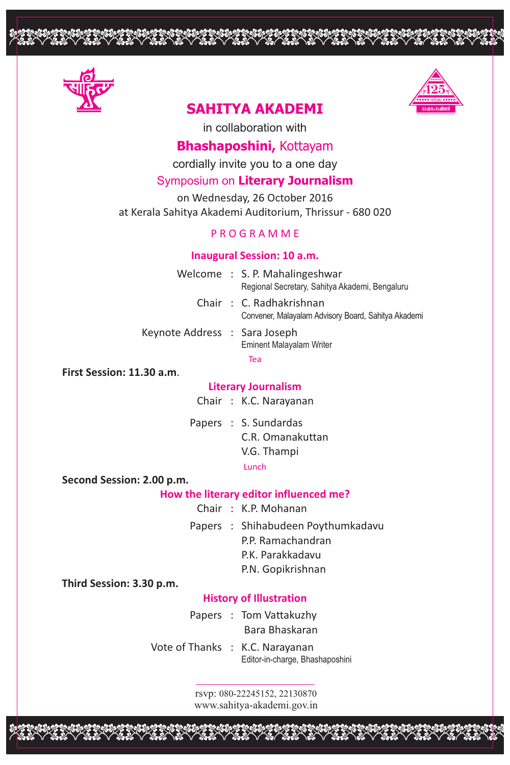

# **SAHITYA AKADEMI**

opopulation and the contract of the contract of the contract of the contract of the contract of the contract o

in collaboration with

# **Bhashaposhini,** Kottayam

cordially invite you to a one day

# Symposium on **Literary Journalism**

on Wednesday, 26 October 2016 at Kerala Sahitya Akademi Auditorium, Thrissur - 680 020

# P R O G R A M M E

#### **Inaugural Session: 10 a.m.**

|                               | Welcome : S. P. Mahalingeshwar<br>Regional Secretary, Sahitya Akademi, Bengaluru |
|-------------------------------|----------------------------------------------------------------------------------|
|                               | Chair: C. Radhakrishnan<br>Convener, Malayalam Advisory Board, Sahitya Akademi   |
| Keynote Address : Sara Joseph | <b>Eminent Malayalam Writer</b>                                                  |

Tea

# **First Session: 11.30 a.m**.

## **Literary Journalism**

- Chair : K.C. Narayanan
- Lunch Papers : S. Sundardas C.R. Omanakuttan V.G. Thampi

**Second Session: 2.00 p.m.** 

## **How the literary editor influenced me?**

- Chair : K.P. Mohanan
- Papers : Shihabudeen Poythumkadavu P.P. Ramachandran P.K. Parakkadavu P.N. Gopikrishnan

**Third Session: 3.30 p.m.** 

## **History of Illustration**

- Papers : Tom Vattakuzhy
	- Bara Bhaskaran

Vote of Thanks : K.C. Narayanan Editor-in-charge, Bhashaposhini

> rsvp: 080-22245152, 22130870 www.sahitya-akademi.gov.in

opopopopoppopopooppoppopopoopp